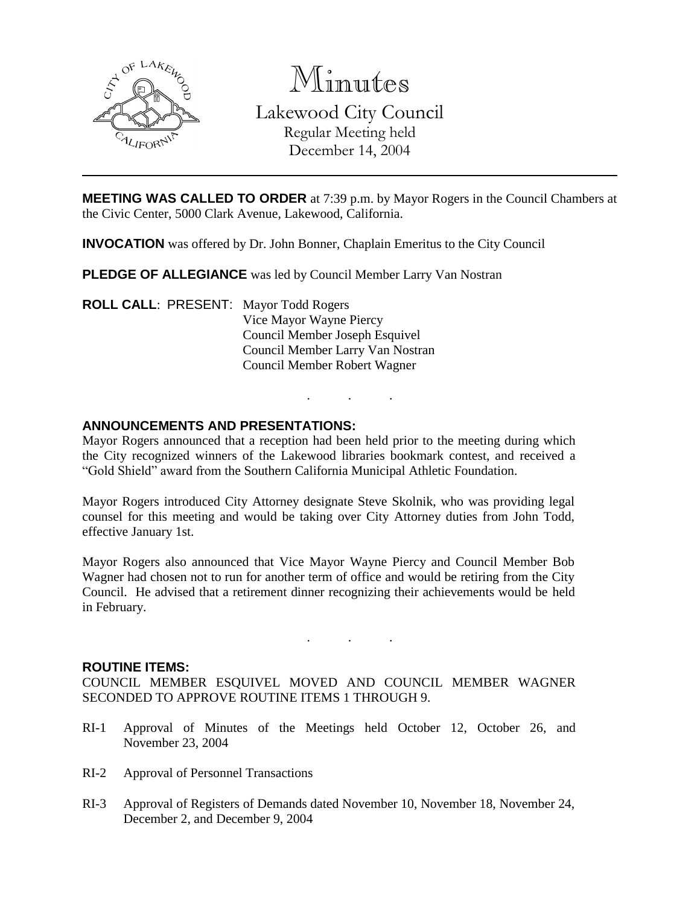

Minutes Lakewood City Council Regular Meeting held December 14, 2004

**MEETING WAS CALLED TO ORDER** at 7:39 p.m. by Mayor Rogers in the Council Chambers at the Civic Center, 5000 Clark Avenue, Lakewood, California.

**INVOCATION** was offered by Dr. John Bonner, Chaplain Emeritus to the City Council

**PLEDGE OF ALLEGIANCE** was led by Council Member Larry Van Nostran

**ROLL CALL**: PRESENT: Mayor Todd Rogers Vice Mayor Wayne Piercy Council Member Joseph Esquivel Council Member Larry Van Nostran Council Member Robert Wagner

## **ANNOUNCEMENTS AND PRESENTATIONS:**

Mayor Rogers announced that a reception had been held prior to the meeting during which the City recognized winners of the Lakewood libraries bookmark contest, and received a "Gold Shield" award from the Southern California Municipal Athletic Foundation.

. . .

Mayor Rogers introduced City Attorney designate Steve Skolnik, who was providing legal counsel for this meeting and would be taking over City Attorney duties from John Todd, effective January 1st.

Mayor Rogers also announced that Vice Mayor Wayne Piercy and Council Member Bob Wagner had chosen not to run for another term of office and would be retiring from the City Council. He advised that a retirement dinner recognizing their achievements would be held in February.

#### **ROUTINE ITEMS:**

COUNCIL MEMBER ESQUIVEL MOVED AND COUNCIL MEMBER WAGNER SECONDED TO APPROVE ROUTINE ITEMS 1 THROUGH 9.

. . .

- RI-1 Approval of Minutes of the Meetings held October 12, October 26, and November 23, 2004
- RI-2 Approval of Personnel Transactions
- RI-3 Approval of Registers of Demands dated November 10, November 18, November 24, December 2, and December 9, 2004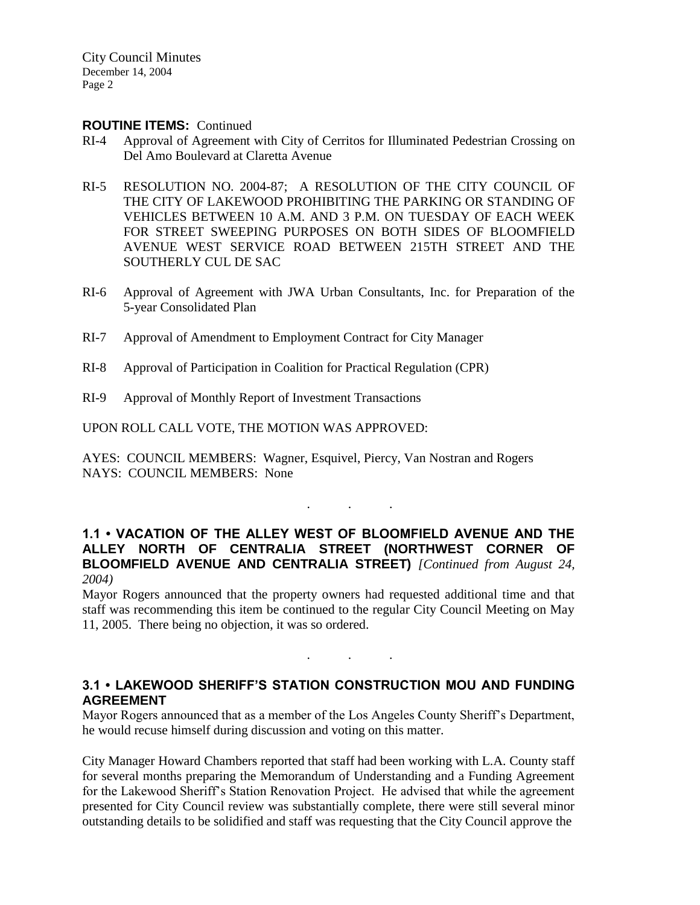City Council Minutes December 14, 2004 Page 2

#### **ROUTINE ITEMS:** Continued

- RI-4 Approval of Agreement with City of Cerritos for Illuminated Pedestrian Crossing on Del Amo Boulevard at Claretta Avenue
- RI-5 RESOLUTION NO. 2004-87; A RESOLUTION OF THE CITY COUNCIL OF THE CITY OF LAKEWOOD PROHIBITING THE PARKING OR STANDING OF VEHICLES BETWEEN 10 A.M. AND 3 P.M. ON TUESDAY OF EACH WEEK FOR STREET SWEEPING PURPOSES ON BOTH SIDES OF BLOOMFIELD AVENUE WEST SERVICE ROAD BETWEEN 215TH STREET AND THE SOUTHERLY CUL DE SAC
- RI-6 Approval of Agreement with JWA Urban Consultants, Inc. for Preparation of the 5-year Consolidated Plan
- RI-7 Approval of Amendment to Employment Contract for City Manager
- RI-8 Approval of Participation in Coalition for Practical Regulation (CPR)
- RI-9 Approval of Monthly Report of Investment Transactions

UPON ROLL CALL VOTE, THE MOTION WAS APPROVED:

AYES: COUNCIL MEMBERS: Wagner, Esquivel, Piercy, Van Nostran and Rogers NAYS: COUNCIL MEMBERS: None

. . .

## **1.1 • VACATION OF THE ALLEY WEST OF BLOOMFIELD AVENUE AND THE ALLEY NORTH OF CENTRALIA STREET (NORTHWEST CORNER OF BLOOMFIELD AVENUE AND CENTRALIA STREET)** *[Continued from August 24, 2004)*

Mayor Rogers announced that the property owners had requested additional time and that staff was recommending this item be continued to the regular City Council Meeting on May 11, 2005. There being no objection, it was so ordered.

# **3.1 • LAKEWOOD SHERIFF'S STATION CONSTRUCTION MOU AND FUNDING AGREEMENT**

. . .

Mayor Rogers announced that as a member of the Los Angeles County Sheriff's Department, he would recuse himself during discussion and voting on this matter.

City Manager Howard Chambers reported that staff had been working with L.A. County staff for several months preparing the Memorandum of Understanding and a Funding Agreement for the Lakewood Sheriff's Station Renovation Project. He advised that while the agreement presented for City Council review was substantially complete, there were still several minor outstanding details to be solidified and staff was requesting that the City Council approve the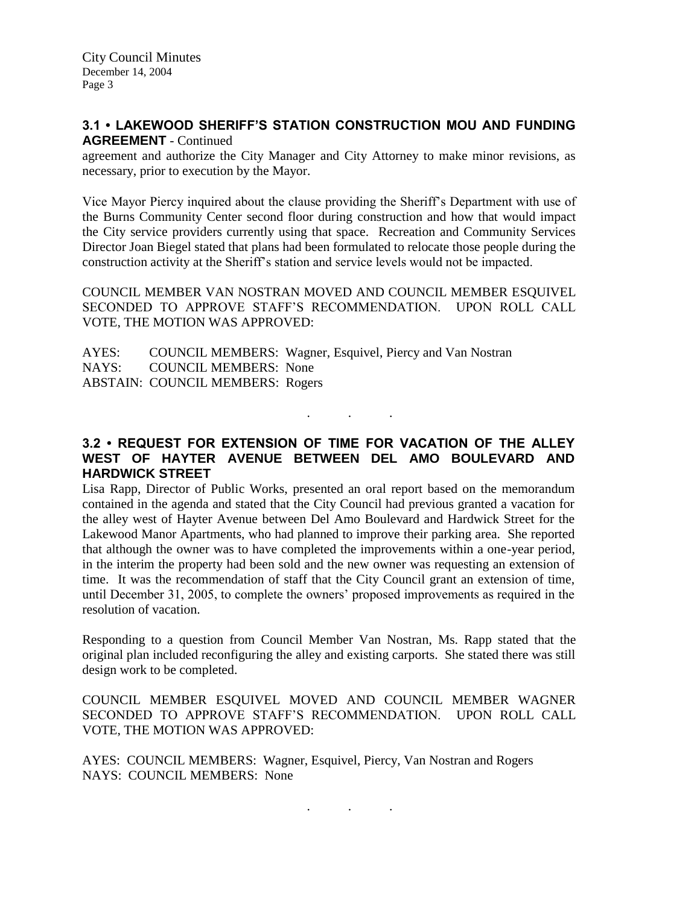# **3.1 • LAKEWOOD SHERIFF'S STATION CONSTRUCTION MOU AND FUNDING AGREEMENT** - Continued

agreement and authorize the City Manager and City Attorney to make minor revisions, as necessary, prior to execution by the Mayor.

Vice Mayor Piercy inquired about the clause providing the Sheriff's Department with use of the Burns Community Center second floor during construction and how that would impact the City service providers currently using that space. Recreation and Community Services Director Joan Biegel stated that plans had been formulated to relocate those people during the construction activity at the Sheriff's station and service levels would not be impacted.

COUNCIL MEMBER VAN NOSTRAN MOVED AND COUNCIL MEMBER ESQUIVEL SECONDED TO APPROVE STAFF'S RECOMMENDATION. UPON ROLL CALL VOTE, THE MOTION WAS APPROVED:

AYES: COUNCIL MEMBERS: Wagner, Esquivel, Piercy and Van Nostran NAYS: COUNCIL MEMBERS: None ABSTAIN: COUNCIL MEMBERS: Rogers

# **3.2 • REQUEST FOR EXTENSION OF TIME FOR VACATION OF THE ALLEY WEST OF HAYTER AVENUE BETWEEN DEL AMO BOULEVARD AND HARDWICK STREET**

. . .

Lisa Rapp, Director of Public Works, presented an oral report based on the memorandum contained in the agenda and stated that the City Council had previous granted a vacation for the alley west of Hayter Avenue between Del Amo Boulevard and Hardwick Street for the Lakewood Manor Apartments, who had planned to improve their parking area. She reported that although the owner was to have completed the improvements within a one-year period, in the interim the property had been sold and the new owner was requesting an extension of time. It was the recommendation of staff that the City Council grant an extension of time, until December 31, 2005, to complete the owners' proposed improvements as required in the resolution of vacation.

Responding to a question from Council Member Van Nostran, Ms. Rapp stated that the original plan included reconfiguring the alley and existing carports. She stated there was still design work to be completed.

COUNCIL MEMBER ESQUIVEL MOVED AND COUNCIL MEMBER WAGNER SECONDED TO APPROVE STAFF'S RECOMMENDATION. UPON ROLL CALL VOTE, THE MOTION WAS APPROVED:

. . .

AYES: COUNCIL MEMBERS: Wagner, Esquivel, Piercy, Van Nostran and Rogers NAYS: COUNCIL MEMBERS: None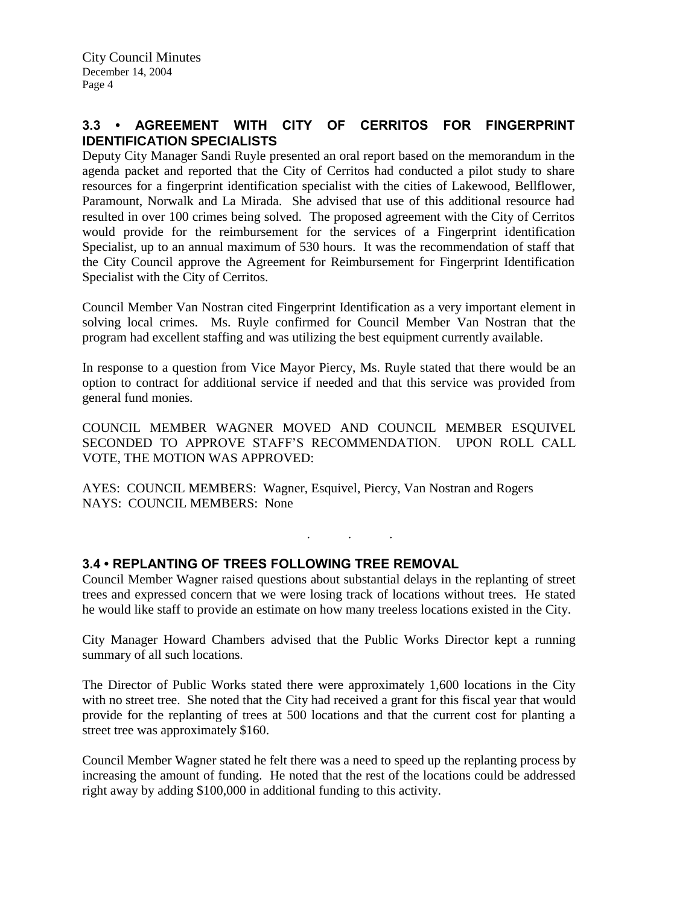# **3.3 • AGREEMENT WITH CITY OF CERRITOS FOR FINGERPRINT IDENTIFICATION SPECIALISTS**

Deputy City Manager Sandi Ruyle presented an oral report based on the memorandum in the agenda packet and reported that the City of Cerritos had conducted a pilot study to share resources for a fingerprint identification specialist with the cities of Lakewood, Bellflower, Paramount, Norwalk and La Mirada. She advised that use of this additional resource had resulted in over 100 crimes being solved. The proposed agreement with the City of Cerritos would provide for the reimbursement for the services of a Fingerprint identification Specialist, up to an annual maximum of 530 hours. It was the recommendation of staff that the City Council approve the Agreement for Reimbursement for Fingerprint Identification Specialist with the City of Cerritos.

Council Member Van Nostran cited Fingerprint Identification as a very important element in solving local crimes. Ms. Ruyle confirmed for Council Member Van Nostran that the program had excellent staffing and was utilizing the best equipment currently available.

In response to a question from Vice Mayor Piercy, Ms. Ruyle stated that there would be an option to contract for additional service if needed and that this service was provided from general fund monies.

COUNCIL MEMBER WAGNER MOVED AND COUNCIL MEMBER ESQUIVEL SECONDED TO APPROVE STAFF'S RECOMMENDATION. UPON ROLL CALL VOTE, THE MOTION WAS APPROVED:

AYES: COUNCIL MEMBERS: Wagner, Esquivel, Piercy, Van Nostran and Rogers NAYS: COUNCIL MEMBERS: None

. . .

## **3.4 • REPLANTING OF TREES FOLLOWING TREE REMOVAL**

Council Member Wagner raised questions about substantial delays in the replanting of street trees and expressed concern that we were losing track of locations without trees. He stated he would like staff to provide an estimate on how many treeless locations existed in the City.

City Manager Howard Chambers advised that the Public Works Director kept a running summary of all such locations.

The Director of Public Works stated there were approximately 1,600 locations in the City with no street tree. She noted that the City had received a grant for this fiscal year that would provide for the replanting of trees at 500 locations and that the current cost for planting a street tree was approximately \$160.

Council Member Wagner stated he felt there was a need to speed up the replanting process by increasing the amount of funding. He noted that the rest of the locations could be addressed right away by adding \$100,000 in additional funding to this activity.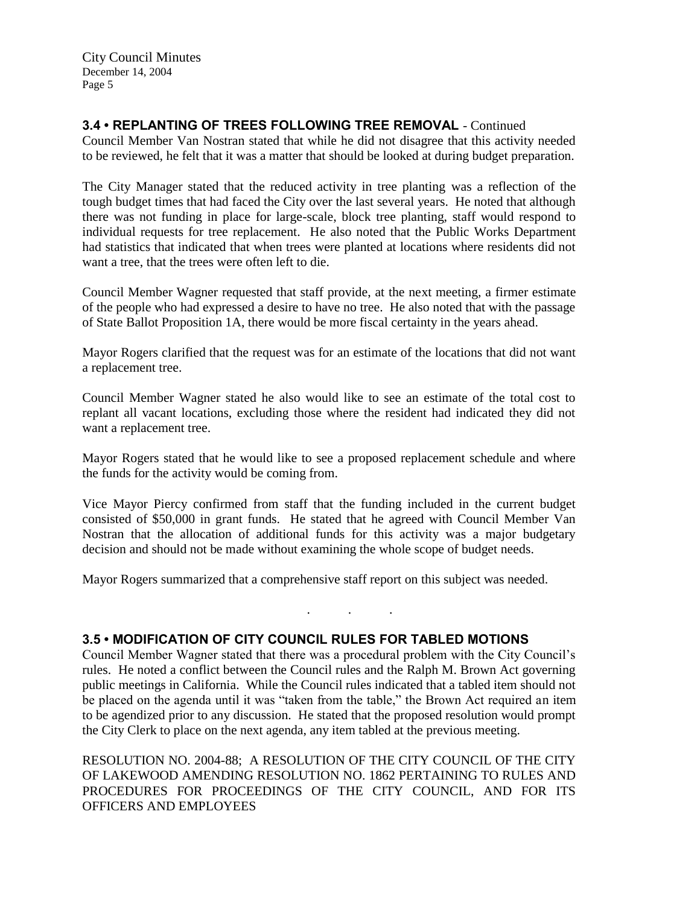City Council Minutes December 14, 2004 Page 5

# **3.4 • REPLANTING OF TREES FOLLOWING TREE REMOVAL** - Continued

Council Member Van Nostran stated that while he did not disagree that this activity needed to be reviewed, he felt that it was a matter that should be looked at during budget preparation.

The City Manager stated that the reduced activity in tree planting was a reflection of the tough budget times that had faced the City over the last several years. He noted that although there was not funding in place for large-scale, block tree planting, staff would respond to individual requests for tree replacement. He also noted that the Public Works Department had statistics that indicated that when trees were planted at locations where residents did not want a tree, that the trees were often left to die.

Council Member Wagner requested that staff provide, at the next meeting, a firmer estimate of the people who had expressed a desire to have no tree. He also noted that with the passage of State Ballot Proposition 1A, there would be more fiscal certainty in the years ahead.

Mayor Rogers clarified that the request was for an estimate of the locations that did not want a replacement tree.

Council Member Wagner stated he also would like to see an estimate of the total cost to replant all vacant locations, excluding those where the resident had indicated they did not want a replacement tree.

Mayor Rogers stated that he would like to see a proposed replacement schedule and where the funds for the activity would be coming from.

Vice Mayor Piercy confirmed from staff that the funding included in the current budget consisted of \$50,000 in grant funds. He stated that he agreed with Council Member Van Nostran that the allocation of additional funds for this activity was a major budgetary decision and should not be made without examining the whole scope of budget needs.

Mayor Rogers summarized that a comprehensive staff report on this subject was needed.

## **3.5 • MODIFICATION OF CITY COUNCIL RULES FOR TABLED MOTIONS**

Council Member Wagner stated that there was a procedural problem with the City Council's rules. He noted a conflict between the Council rules and the Ralph M. Brown Act governing public meetings in California. While the Council rules indicated that a tabled item should not be placed on the agenda until it was "taken from the table," the Brown Act required an item to be agendized prior to any discussion. He stated that the proposed resolution would prompt the City Clerk to place on the next agenda, any item tabled at the previous meeting.

. . .

RESOLUTION NO. 2004-88; A RESOLUTION OF THE CITY COUNCIL OF THE CITY OF LAKEWOOD AMENDING RESOLUTION NO. 1862 PERTAINING TO RULES AND PROCEDURES FOR PROCEEDINGS OF THE CITY COUNCIL, AND FOR ITS OFFICERS AND EMPLOYEES